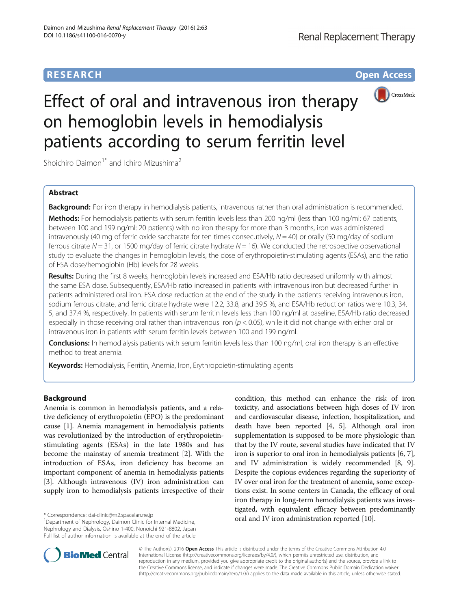## **RESEARCH CHE Open Access**



# Effect of oral and intravenous iron therapy on hemoglobin levels in hemodialysis patients according to serum ferritin level

Shoichiro Daimon<sup>1\*</sup> and Ichiro Mizushima<sup>2</sup>

## Abstract

Background: For iron therapy in hemodialysis patients, intravenous rather than oral administration is recommended.

Methods: For hemodialysis patients with serum ferritin levels less than 200 ng/ml (less than 100 ng/ml: 67 patients, between 100 and 199 ng/ml: 20 patients) with no iron therapy for more than 3 months, iron was administered intravenously (40 mg of ferric oxide saccharate for ten times consecutively,  $N = 40$ ) or orally (50 mg/day of sodium ferrous citrate  $N = 31$ , or 1500 mg/day of ferric citrate hydrate  $N = 16$ ). We conducted the retrospective observational study to evaluate the changes in hemoglobin levels, the dose of erythropoietin-stimulating agents (ESAs), and the ratio of ESA dose/hemoglobin (Hb) levels for 28 weeks.

Results: During the first 8 weeks, hemoglobin levels increased and ESA/Hb ratio decreased uniformly with almost the same ESA dose. Subsequently, ESA/Hb ratio increased in patients with intravenous iron but decreased further in patients administered oral iron. ESA dose reduction at the end of the study in the patients receiving intravenous iron, sodium ferrous citrate, and ferric citrate hydrate were 12.2, 33.8, and 39.5 %, and ESA/Hb reduction ratios were 10.3, 34. 5, and 37.4 %, respectively. In patients with serum ferritin levels less than 100 ng/ml at baseline, ESA/Hb ratio decreased especially in those receiving oral rather than intravenous iron ( $p < 0.05$ ), while it did not change with either oral or intravenous iron in patients with serum ferritin levels between 100 and 199 ng/ml.

Conclusions: In hemodialysis patients with serum ferritin levels less than 100 ng/ml, oral iron therapy is an effective method to treat anemia.

Keywords: Hemodialysis, Ferritin, Anemia, Iron, Erythropoietin-stimulating agents

## Background

Anemia is common in hemodialysis patients, and a relative deficiency of erythropoietin (EPO) is the predominant cause [[1\]](#page-7-0). Anemia management in hemodialysis patients was revolutionized by the introduction of erythropoietinstimulating agents (ESAs) in the late 1980s and has become the mainstay of anemia treatment [\[2](#page-7-0)]. With the introduction of ESAs, iron deficiency has become an important component of anemia in hemodialysis patients [[3\]](#page-7-0). Although intravenous (IV) iron administration can supply iron to hemodialysis patients irrespective of their

condition, this method can enhance the risk of iron toxicity, and associations between high doses of IV iron and cardiovascular disease, infection, hospitalization, and death have been reported [[4](#page-7-0), [5\]](#page-7-0). Although oral iron supplementation is supposed to be more physiologic than that by the IV route, several studies have indicated that IV iron is superior to oral iron in hemodialysis patients [[6, 7](#page-7-0)], and IV administration is widely recommended [[8](#page-7-0), [9](#page-7-0)]. Despite the copious evidences regarding the superiority of IV over oral iron for the treatment of anemia, some exceptions exist. In some centers in Canada, the efficacy of oral iron therapy in long-term hemodialysis patients was investigated, with equivalent efficacy between predominantly oral and IV iron administration reported [[10](#page-7-0)]. \* Correspondence: [dai-clinic@m2.spacelan.ne.jp](mailto:dai-clinic@m2.spacelan.ne.jp) <sup>1</sup>



© The Author(s). 2016 Open Access This article is distributed under the terms of the Creative Commons Attribution 4.0 International License [\(http://creativecommons.org/licenses/by/4.0/](http://creativecommons.org/licenses/by/4.0/)), which permits unrestricted use, distribution, and reproduction in any medium, provided you give appropriate credit to the original author(s) and the source, provide a link to the Creative Commons license, and indicate if changes were made. The Creative Commons Public Domain Dedication waiver [\(http://creativecommons.org/publicdomain/zero/1.0/](http://creativecommons.org/publicdomain/zero/1.0/)) applies to the data made available in this article, unless otherwise stated.

<sup>&</sup>lt;sup>1</sup>Department of Nephrology, Daimon Clinic for Internal Medicine, Nephrology and Dialysis, Oshino 1-400, Nonoichi 921-8802, Japan Full list of author information is available at the end of the article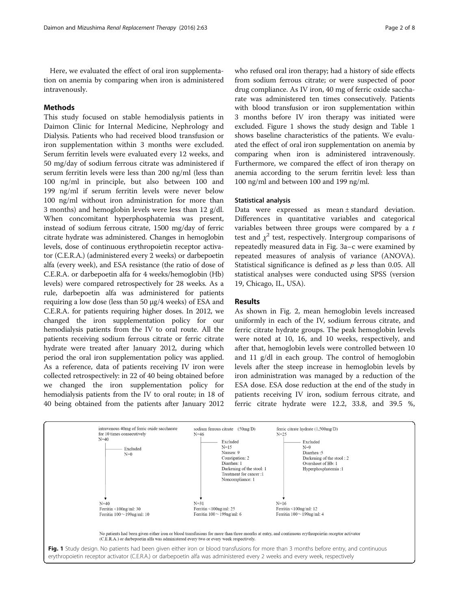Here, we evaluated the effect of oral iron supplementation on anemia by comparing when iron is administered intravenously.

## Methods

This study focused on stable hemodialysis patients in Daimon Clinic for Internal Medicine, Nephrology and Dialysis. Patients who had received blood transfusion or iron supplementation within 3 months were excluded. Serum ferritin levels were evaluated every 12 weeks, and 50 mg/day of sodium ferrous citrate was administered if serum ferritin levels were less than 200 ng/ml (less than 100 ng/ml in principle, but also between 100 and 199 ng/ml if serum ferritin levels were never below 100 ng/ml without iron administration for more than 3 months) and hemoglobin levels were less than 12 g/dl. When concomitant hyperphosphatemia was present, instead of sodium ferrous citrate, 1500 mg/day of ferric citrate hydrate was administered. Changes in hemoglobin levels, dose of continuous erythropoietin receptor activator (C.E.R.A.) (administered every 2 weeks) or darbepoetin alfa (every week), and ESA resistance (the ratio of dose of C.E.R.A. or darbepoetin alfa for 4 weeks/hemoglobin (Hb) levels) were compared retrospectively for 28 weeks. As a rule, darbepoetin alfa was administered for patients requiring a low dose (less than 50 μg/4 weeks) of ESA and C.E.R.A. for patients requiring higher doses. In 2012, we changed the iron supplementation policy for our hemodialysis patients from the IV to oral route. All the patients receiving sodium ferrous citrate or ferric citrate hydrate were treated after January 2012, during which period the oral iron supplementation policy was applied. As a reference, data of patients receiving IV iron were collected retrospectively: in 22 of 40 being obtained before we changed the iron supplementation policy for hemodialysis patients from the IV to oral route; in 18 of 40 being obtained from the patients after January 2012 who refused oral iron therapy; had a history of side effects from sodium ferrous citrate; or were suspected of poor drug compliance. As IV iron, 40 mg of ferric oxide saccharate was administered ten times consecutively. Patients with blood transfusion or iron supplementation within 3 months before IV iron therapy was initiated were excluded. Figure 1 shows the study design and Table [1](#page-2-0) shows baseline characteristics of the patients. We evaluated the effect of oral iron supplementation on anemia by comparing when iron is administered intravenously. Furthermore, we compared the effect of iron therapy on anemia according to the serum ferritin level: less than 100 ng/ml and between 100 and 199 ng/ml.

#### Statistical analysis

Data were expressed as mean ± standard deviation. Differences in quantitative variables and categorical variables between three groups were compared by a  $t$ test and  $\chi^2$  test, respectively. Intergroup comparisons of repeatedly measured data in Fig. [3a](#page-4-0)–c were examined by repeated measures of analysis of variance (ANOVA). Statistical significance is defined as  $p$  less than 0.05. All statistical analyses were conducted using SPSS (version 19, Chicago, IL, USA).

## Results

As shown in Fig. [2](#page-3-0), mean hemoglobin levels increased uniformly in each of the IV, sodium ferrous citrate, and ferric citrate hydrate groups. The peak hemoglobin levels were noted at 10, 16, and 10 weeks, respectively, and after that, hemoglobin levels were controlled between 10 and 11 g/dl in each group. The control of hemoglobin levels after the steep increase in hemoglobin levels by iron administration was managed by a reduction of the ESA dose. ESA dose reduction at the end of the study in patients receiving IV iron, sodium ferrous citrate, and ferric citrate hydrate were 12.2, 33.8, and 39.5 %,

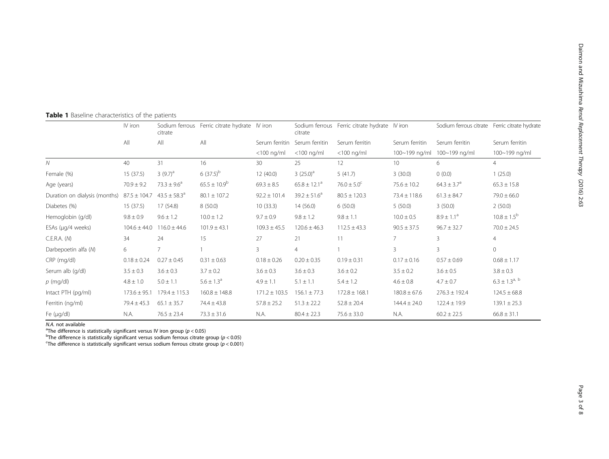Daimon and

Mizushima

Renal

Replacement

Therapy

(2016) 2:63

|                               | IV iron          | citrate                     | Sodium ferrous Ferric citrate hydrate IV iron |                   | citrate           | Sodium ferrous Ferric citrate hydrate | IV iron          | Sodium ferrous citrate | Ferric citrate hydrate |
|-------------------------------|------------------|-----------------------------|-----------------------------------------------|-------------------|-------------------|---------------------------------------|------------------|------------------------|------------------------|
|                               | All              | All                         | All                                           | Serum ferritin    | Serum ferritin    | Serum ferritin                        | Serum ferritin   | Serum ferritin         | Serum ferritin         |
|                               |                  |                             |                                               | $<$ 100 ng/ml     | $<$ 100 ng/ml     | $<$ 100 ng/ml                         | 100~199 ng/ml    | 100~199 ng/ml          | 100~199 ng/ml          |
| N                             | 40               | 31                          | 16                                            | 30                | 25                | 12                                    | 10               | 6                      | $\overline{4}$         |
| Female (%)                    | 15(37.5)         | $3(9.7)^{a}$                | $6(37.5)^{b}$                                 | 12(40.0)          | $3(25.0)^a$       | 5(41.7)                               | 3(30.0)          | 0(0.0)                 | 1(25.0)                |
| Age (years)                   | $70.9 \pm 9.2$   | 73.3 $\pm$ 9.6 <sup>a</sup> | $65.5 \pm 10.9^b$                             | $69.3 \pm 8.5$    | $65.8 \pm 12.1^a$ | $76.0 \pm 5.0^{\circ}$                | $75.6 \pm 10.2$  | $64.3 \pm 3.7^a$       | $65.3 \pm 15.8$        |
| Duration on dialysis (months) | $87.5 \pm 104.7$ | $43.5 \pm 58.3^{\circ}$     | $80.1 \pm 107.2$                              | $92.2 \pm 101.4$  | $39.2 \pm 51.6^a$ | $80.5 \pm 120.3$                      | $73.4 \pm 118.6$ | $61.3 \pm 84.7$        | $79.0 \pm 66.0$        |
| Diabetes (%)                  | 15(37.5)         | 17 (54.8)                   | 8(50.0)                                       | 10(33.3)          | 14 (56.0)         | 6(50.0)                               | 5(50.0)          | 3(50.0)                | 2(50.0)                |
| Hemoglobin (g/dl)             | $9.8 \pm 0.9$    | $9.6 \pm 1.2$               | $10.0 \pm 1.2$                                | $9.7 \pm 0.9$     | $9.8 \pm 1.2$     | $9.8 \pm 1.1$                         | $10.0 \pm 0.5$   | $8.9 \pm 1.1^a$        | $10.8 \pm 1.5^{b}$     |
| ESAs (µg/4 weeks)             | $104.6 \pm 44.0$ | $116.0 \pm 44.6$            | $101.9 \pm 43.1$                              | $109.3 \pm 45.5$  | $120.6 \pm 46.3$  | $112.5 \pm 43.3$                      | $90.5 \pm 37.5$  | $96.7 \pm 32.7$        | $70.0 \pm 24.5$        |
| C.E.R.A. (N)                  | 34               | 24                          | 15                                            | 27                | 21                | 11                                    |                  | 3                      | $\overline{4}$         |
| Darbepoetin alfa (N)          | 6                | $\overline{7}$              |                                               | 3                 | $\overline{4}$    |                                       | 3                | $\overline{3}$         | $\Omega$               |
| CRP (mg/dl)                   | $0.18 \pm 0.24$  | $0.27 \pm 0.45$             | $0.31 \pm 0.63$                               | $0.18 \pm 0.26$   | $0.20 \pm 0.35$   | $0.19 \pm 0.31$                       | $0.17 \pm 0.16$  | $0.57 \pm 0.69$        | $0.68 \pm 1.17$        |
| Serum alb (g/dl)              | $3.5 \pm 0.3$    | $3.6 \pm 0.3$               | $3.7 \pm 0.2$                                 | $3.6 \pm 0.3$     | $3.6 \pm 0.3$     | $3.6 \pm 0.2$                         | $3.5 \pm 0.2$    | $3.6 \pm 0.5$          | $3.8 \pm 0.3$          |
| <i>p</i> (mg/dl)              | $4.8 \pm 1.0$    | $5.0 \pm 1.1$               | $5.6 \pm 1.3^{\circ}$                         | $4.9 \pm 1.1$     | $5.1 \pm 1.1$     | $5.4 \pm 1.2$                         | $4.6 \pm 0.8$    | $4.7 \pm 0.7$          | $6.3 \pm 1.3^{a, b}$   |
| Intact PTH (pg/ml)            | $173.6 \pm 95.1$ | $179.4 \pm 115.3$           | $160.8 \pm 148.8$                             | $171.2 \pm 103.5$ | $156.1 \pm 77.3$  | $172.8 \pm 168.1$                     | $180.8 \pm 67.6$ | $276.3 \pm 192.4$      | $124.5 \pm 68.8$       |
| Ferritin (ng/ml)              | $79.4 \pm 45.3$  | $65.1 \pm 35.7$             | $74.4 \pm 43.8$                               | $57.8 \pm 25.2$   | $51.3 \pm 22.2$   | $52.8 \pm 20.4$                       | $144.4 \pm 24.0$ | $122.4 \pm 19.9$       | $139.1 \pm 25.3$       |
| Fe (µg/dl)                    | N.A.             | $76.5 \pm 23.4$             | $73.3 \pm 31.6$                               | N.A.              | $80.4 \pm 22.3$   | $75.6 \pm 33.0$                       | N.A.             | $60.2 \pm 22.5$        | $66.8 \pm 31.1$        |

<span id="page-2-0"></span>Table 1 Baseline characteristics of the patients

 $\overline{N.A}$ . not available<br><sup>a</sup>The difference is statistically significant versus IV iron group ( $p < 0.05$ )  $^{\rm a}$ The difference is statistically significant versus IV iron group (p < 0.05)  $^{\rm b}$ The difference is statistically significant versus sodium ferrous citrate

<sup>p</sup>The difference is statistically significant versus sodium ferrous citrate group (p < 0.05)<br><sup>c</sup>The difference is statistically significant versus sodium ferrous citrate group (p < 0.001)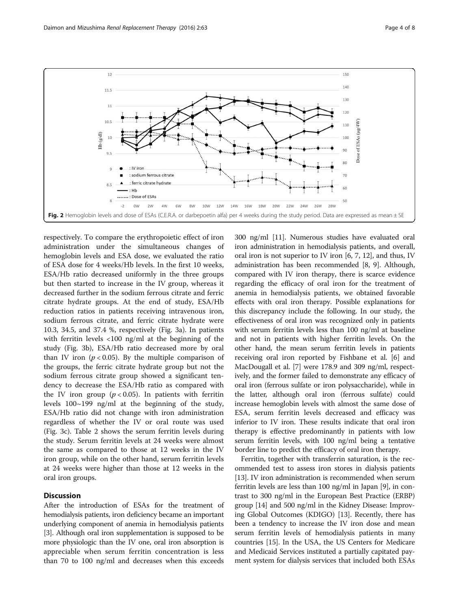<span id="page-3-0"></span>

respectively. To compare the erythropoietic effect of iron administration under the simultaneous changes of hemoglobin levels and ESA dose, we evaluated the ratio of ESA dose for 4 weeks/Hb levels. In the first 10 weeks, ESA/Hb ratio decreased uniformly in the three groups but then started to increase in the IV group, whereas it decreased further in the sodium ferrous citrate and ferric citrate hydrate groups. At the end of study, ESA/Hb reduction ratios in patients receiving intravenous iron, sodium ferrous citrate, and ferric citrate hydrate were 10.3, 34.5, and 37.4 %, respectively (Fig. [3a\)](#page-4-0). In patients with ferritin levels <100 ng/ml at the beginning of the study (Fig. [3b](#page-4-0)), ESA/Hb ratio decreased more by oral than IV iron ( $p < 0.05$ ). By the multiple comparison of the groups, the ferric citrate hydrate group but not the sodium ferrous citrate group showed a significant tendency to decrease the ESA/Hb ratio as compared with the IV iron group ( $p < 0.05$ ). In patients with ferritin levels 100~199 ng/ml at the beginning of the study, ESA/Hb ratio did not change with iron administration regardless of whether the IV or oral route was used (Fig. [3c](#page-4-0)). Table [2](#page-5-0) shows the serum ferritin levels during the study. Serum ferritin levels at 24 weeks were almost the same as compared to those at 12 weeks in the IV iron group, while on the other hand, serum ferritin levels at 24 weeks were higher than those at 12 weeks in the oral iron groups.

## **Discussion**

After the introduction of ESAs for the treatment of hemodialysis patients, iron deficiency became an important underlying component of anemia in hemodialysis patients [[3](#page-7-0)]. Although oral iron supplementation is supposed to be more physiologic than the IV one, oral iron absorption is appreciable when serum ferritin concentration is less than 70 to 100 ng/ml and decreases when this exceeds

300 ng/ml [[11](#page-7-0)]. Numerous studies have evaluated oral iron administration in hemodialysis patients, and overall, oral iron is not superior to IV iron [[6, 7, 12](#page-7-0)], and thus, IV administration has been recommended [\[8](#page-7-0), [9](#page-7-0)]. Although, compared with IV iron therapy, there is scarce evidence regarding the efficacy of oral iron for the treatment of anemia in hemodialysis patients, we obtained favorable effects with oral iron therapy. Possible explanations for this discrepancy include the following. In our study, the effectiveness of oral iron was recognized only in patients with serum ferritin levels less than 100 ng/ml at baseline and not in patients with higher ferritin levels. On the other hand, the mean serum ferritin levels in patients receiving oral iron reported by Fishbane et al. [[6\]](#page-7-0) and MacDougall et al. [\[7\]](#page-7-0) were 178.9 and 309 ng/ml, respectively, and the former failed to demonstrate any efficacy of oral iron (ferrous sulfate or iron polysaccharide), while in the latter, although oral iron (ferrous sulfate) could increase hemoglobin levels with almost the same dose of ESA, serum ferritin levels decreased and efficacy was inferior to IV iron. These results indicate that oral iron therapy is effective predominantly in patients with low serum ferritin levels, with 100 ng/ml being a tentative border line to predict the efficacy of oral iron therapy.

Ferritin, together with transferrin saturation, is the recommended test to assess iron stores in dialysis patients [[13](#page-7-0)]. IV iron administration is recommended when serum ferritin levels are less than 100 ng/ml in Japan [[9](#page-7-0)], in contrast to 300 ng/ml in the European Best Practice (ERBP) group [\[14](#page-7-0)] and 500 ng/ml in the Kidney Disease: Improving Global Outcomes (KDIGO) [[13](#page-7-0)]. Recently, there has been a tendency to increase the IV iron dose and mean serum ferritin levels of hemodialysis patients in many countries [\[15](#page-7-0)]. In the USA, the US Centers for Medicare and Medicaid Services instituted a partially capitated payment system for dialysis services that included both ESAs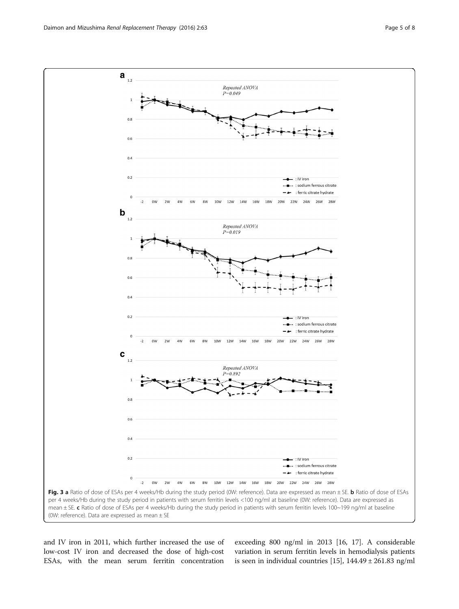and IV iron in 2011, which further increased the use of low-cost IV iron and decreased the dose of high-cost ESAs, with the mean serum ferritin concentration

exceeding 800 ng/ml in 2013 [\[16, 17\]](#page-7-0). A considerable variation in serum ferritin levels in hemodialysis patients is seen in individual countries [[15](#page-7-0)],  $144.49 \pm 261.83$  ng/ml

<span id="page-4-0"></span>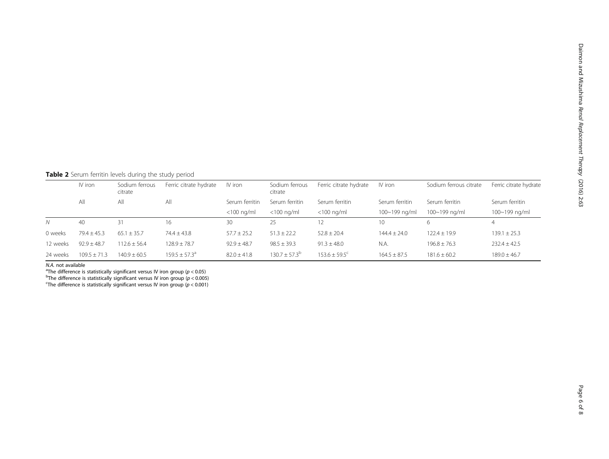<span id="page-5-0"></span>Table 2 Serum ferritin levels during the study period

|          | IV iron          | Sodium ferrous<br>citrate | Ferric citrate hydrate   | IV iron         | Sodium ferrous<br>citrate | Ferric citrate hydrate | IV iron          | Sodium ferrous citrate | Ferric citrate hydrate |
|----------|------------------|---------------------------|--------------------------|-----------------|---------------------------|------------------------|------------------|------------------------|------------------------|
|          | All              | All                       | All                      | Serum ferritin  | Serum ferritin            | Serum ferritin         | Serum ferritin   | Serum ferritin         | Serum ferritin         |
|          |                  |                           |                          | $<$ 100 na/ml   | $<$ 100 na/ml             | $<$ 100 na/ml          | 100~199 na/ml    | 100~199 na/ml          | 100~199 ng/ml          |
| N        | 40               | 31                        | 16                       | 30              | 25                        |                        | 10 <sup>2</sup>  | 6                      |                        |
| 0 weeks  | $79.4 \pm 45.3$  | $65.1 \pm 35.7$           | $74.4 \pm 43.8$          | $57.7 \pm 25.2$ | $51.3 \pm 22.2$           | $52.8 \pm 20.4$        | $144.4 \pm 24.0$ | $122.4 \pm 19.9$       | $139.1 \pm 25.3$       |
| 12 weeks | $92.9 + 48.7$    | $112.6 + 56.4$            | $128.9 \pm 78.7$         | $92.9 + 48.7$   | $98.5 \pm 39.3$           | $91.3 \pm 48.0$        | N.A.             | $196.8 \pm 76.3$       | $232.4 \pm 42.5$       |
| 24 weeks | $109.5 \pm 71.3$ | $140.9 \pm 60.5$          | $159.5 \pm 57.3^{\circ}$ | $82.0 \pm 41.8$ | $130.7 \pm 57.3^{\circ}$  | $153.6 + 59.5^{\circ}$ | $164.5 \pm 87.5$ | $181.6 \pm 60.2$       | $189.0 \pm 46.7$       |

*N.A*. not available<br><sup>a</sup>The difference is

 $^3$ The difference is statistically significant versus IV iron group (p < 0.05)<br><sup>b</sup>The difference is statistically significant versus IV iron group (p < 0.001

 $\rm ^{\circ}$ The difference is statistically significant versus IV iron group (p < 0.005)<br> $\rm ^{\circ}$ The difference is statistically significant versus IV iron group (p < 0.001)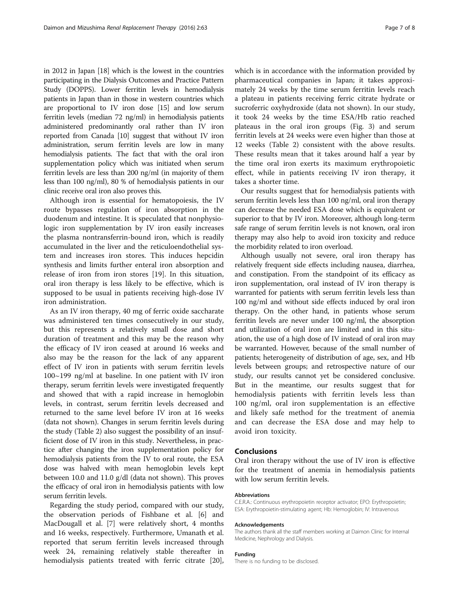in 2012 in Japan [\[18](#page-7-0)] which is the lowest in the countries participating in the Dialysis Outcomes and Practice Pattern Study (DOPPS). Lower ferritin levels in hemodialysis patients in Japan than in those in western countries which are proportional to IV iron dose [\[15\]](#page-7-0) and low serum ferritin levels (median 72 ng/ml) in hemodialysis patients administered predominantly oral rather than IV iron reported from Canada [\[10\]](#page-7-0) suggest that without IV iron administration, serum ferritin levels are low in many hemodialysis patients. The fact that with the oral iron supplementation policy which was initiated when serum ferritin levels are less than 200 ng/ml (in majority of them less than 100 ng/ml), 80 % of hemodialysis patients in our clinic receive oral iron also proves this.

Although iron is essential for hematopoiesis, the IV route bypasses regulation of iron absorption in the duodenum and intestine. It is speculated that nonphysiologic iron supplementation by IV iron easily increases the plasma nontransferrin-bound iron, which is readily accumulated in the liver and the reticuloendothelial system and increases iron stores. This induces hepcidin synthesis and limits further enteral iron absorption and release of iron from iron stores [\[19](#page-7-0)]. In this situation, oral iron therapy is less likely to be effective, which is supposed to be usual in patients receiving high-dose IV iron administration.

As an IV iron therapy, 40 mg of ferric oxide saccharate was administered ten times consecutively in our study, but this represents a relatively small dose and short duration of treatment and this may be the reason why the efficacy of IV iron ceased at around 16 weeks and also may be the reason for the lack of any apparent effect of IV iron in patients with serum ferritin levels 100~199 ng/ml at baseline. In one patient with IV iron therapy, serum ferritin levels were investigated frequently and showed that with a rapid increase in hemoglobin levels, in contrast, serum ferritin levels decreased and returned to the same level before IV iron at 16 weeks (data not shown). Changes in serum ferritin levels during the study (Table [2](#page-5-0)) also suggest the possibility of an insufficient dose of IV iron in this study. Nevertheless, in practice after changing the iron supplementation policy for hemodialysis patients from the IV to oral route, the ESA dose was halved with mean hemoglobin levels kept between 10.0 and 11.0 g/dl (data not shown). This proves the efficacy of oral iron in hemodialysis patients with low serum ferritin levels.

Regarding the study period, compared with our study, the observation periods of Fishbane et al. [\[6](#page-7-0)] and MacDougall et al. [[7\]](#page-7-0) were relatively short, 4 months and 16 weeks, respectively. Furthermore, Umanath et al. reported that serum ferritin levels increased through week 24, remaining relatively stable thereafter in hemodialysis patients treated with ferric citrate [\[20](#page-7-0)], which is in accordance with the information provided by pharmaceutical companies in Japan; it takes approximately 24 weeks by the time serum ferritin levels reach a plateau in patients receiving ferric citrate hydrate or sucroferric oxyhydroxide (data not shown). In our study, it took 24 weeks by the time ESA/Hb ratio reached plateaus in the oral iron groups (Fig. [3](#page-4-0)) and serum ferritin levels at 24 weeks were even higher than those at 12 weeks (Table [2\)](#page-5-0) consistent with the above results. These results mean that it takes around half a year by the time oral iron exerts its maximum erythropoietic effect, while in patients receiving IV iron therapy, it takes a shorter time.

Our results suggest that for hemodialysis patients with serum ferritin levels less than 100 ng/ml, oral iron therapy can decrease the needed ESA dose which is equivalent or superior to that by IV iron. Moreover, although long-term safe range of serum ferritin levels is not known, oral iron therapy may also help to avoid iron toxicity and reduce the morbidity related to iron overload.

Although usually not severe, oral iron therapy has relatively frequent side effects including nausea, diarrhea, and constipation. From the standpoint of its efficacy as iron supplementation, oral instead of IV iron therapy is warranted for patients with serum ferritin levels less than 100 ng/ml and without side effects induced by oral iron therapy. On the other hand, in patients whose serum ferritin levels are never under 100 ng/ml, the absorption and utilization of oral iron are limited and in this situation, the use of a high dose of IV instead of oral iron may be warranted. However, because of the small number of patients; heterogeneity of distribution of age, sex, and Hb levels between groups; and retrospective nature of our study, our results cannot yet be considered conclusive. But in the meantime, our results suggest that for hemodialysis patients with ferritin levels less than 100 ng/ml, oral iron supplementation is an effective and likely safe method for the treatment of anemia and can decrease the ESA dose and may help to avoid iron toxicity.

#### Conclusions

Oral iron therapy without the use of IV iron is effective for the treatment of anemia in hemodialysis patients with low serum ferritin levels.

#### Abbreviations

C.E.R.A.: Continuous erythropoietin receptor activator; EPO: Erythropoietin; ESA: Erythropoietin-stimulating agent; Hb: Hemoglobin; IV: Intravenous

#### Acknowledgements

The authors thank all the staff members working at Daimon Clinic for Internal Medicine, Nephrology and Dialysis.

#### Funding

There is no funding to be disclosed.